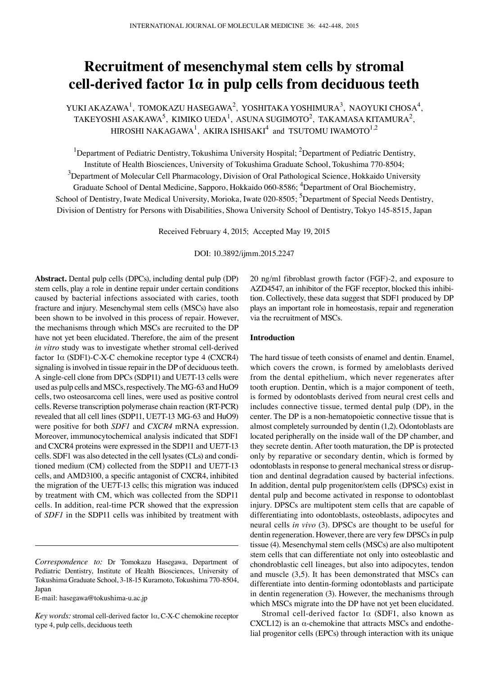# **Recruitment of mesenchymal stem cells by stromal cell-derived factor 1α in pulp cells from deciduous teeth**

YUKI AKAZAWA $^1$ , TOMOKAZU HASEGAWA $^2$ , YOSHITAKA YOSHIMURA $^3$ , NAOYUKI CHOSA $^4_\Lambda$ TAKEYOSHI ASAKAWA $^5$ , KIMIKO UEDA $^1$ , ASUNA SUGIMOTO $^2$ , TAKAMASA KITAMURA $^2$ , HIROSHI NAKAGAWA<sup>1</sup>, AKIRA ISHISAKI<sup>4</sup> and TSUTOMU IWAMOTO<sup>1,2</sup>

<sup>1</sup>Department of Pediatric Dentistry, Tokushima University Hospital; <sup>2</sup>Department of Pediatric Dentistry, Institute of Health Biosciences, University of Tokushima Graduate School, Tokushima 770-8504;  $^3$ Department of Molecular Cell Pharmacology, Division of Oral Pathological Science, Hokkaido University Graduate School of Dental Medicine, Sapporo, Hokkaido 060-8586; <sup>4</sup>Department of Oral Biochemistry, School of Dentistry, Iwate Medical University, Morioka, Iwate 020-8505; <sup>5</sup>Department of Special Needs Dentistry, Division of Dentistry for Persons with Disabilities, Showa University School of Dentistry, Tokyo 145-8515, Japan

Received February 4, 2015; Accepted May 19, 2015

DOI: 10.3892/ijmm.2015.2247

**Abstract.** Dental pulp cells (DPCs), including dental pulp (DP) stem cells, play a role in dentine repair under certain conditions caused by bacterial infections associated with caries, tooth fracture and injury. Mesenchymal stem cells (MSCs) have also been shown to be involved in this process of repair. However, the mechanisms through which MSCs are recruited to the DP have not yet been elucidated. Therefore, the aim of the present *in vitro* study was to investigate whether stromal cell-derived factor 1α (SDF1)-C-X-C chemokine receptor type 4 (CXCR4) signaling is involved in tissue repair in the DP of deciduous teeth. A single-cell clone from DPCs (SDP11) and UE7T-13 cells were used as pulp cells and MSCs, respectively. The MG-63 and HuO9 cells, two osteosarcoma cell lines, were used as positive control cells. Reverse transcription polymerase chain reaction (RT-PCR) revealed that all cell lines (SDP11, UE7T-13 MG-63 and HuO9) were positive for both *SDF1* and *CXCR4* mRNA expression. Moreover, immunocytochemical analysis indicated that SDF1 and CXCR4 proteins were expressed in the SDP11 and UE7T-13 cells. SDF1 was also detected in the cell lysates (CLs) and conditioned medium (CM) collected from the SDP11 and UE7T-13 cells, and AMD3100, a specific antagonist of CXCR4, inhibited the migration of the UE7T-13 cells; this migration was induced by treatment with CM, which was collected from the SDP11 cells. In addition, real-time PCR showed that the expression of *SDF1* in the SDP11 cells was inhibited by treatment with 20 ng/ml fibroblast growth factor (FGF)-2, and exposure to AZD4547, an inhibitor of the FGF receptor, blocked this inhibition. Collectively, these data suggest that SDF1 produced by DP plays an important role in homeostasis, repair and regeneration via the recruitment of MSCs.

## **Introduction**

The hard tissue of teeth consists of enamel and dentin. Enamel, which covers the crown, is formed by ameloblasts derived from the dental epithelium, which never regenerates after tooth eruption. Dentin, which is a major component of teeth, is formed by odontoblasts derived from neural crest cells and includes connective tissue, termed dental pulp (DP), in the center. The DP is a non-hematopoietic connective tissue that is almost completely surrounded by dentin (1,2). Odontoblasts are located peripherally on the inside wall of the DP chamber, and they secrete dentin. After tooth maturation, the DP is protected only by reparative or secondary dentin, which is formed by odontoblasts in response to general mechanical stress or disruption and dentinal degradation caused by bacterial infections. In addition, dental pulp progenitor/stem cells (DPSCs) exist in dental pulp and become activated in response to odontoblast injury. DPSCs are multipotent stem cells that are capable of differentiating into odontoblasts, osteoblasts, adipocytes and neural cells *in vivo* (3). DPSCs are thought to be useful for dentin regeneration. However, there are very few DPSCs in pulp tissue (4). Mesenchymal stem cells (MSCs) are also multipotent stem cells that can differentiate not only into osteoblastic and chondroblastic cell lineages, but also into adipocytes, tendon and muscle (3,5). It has been demonstrated that MSCs can differentiate into dentin-forming odontoblasts and participate in dentin regeneration (3). However, the mechanisms through which MSCs migrate into the DP have not yet been elucidated.

Stromal cell-derived factor 1α (SDF1, also known as CXCL12) is an  $\alpha$ -chemokine that attracts MSCs and endothelial progenitor cells (EPCs) through interaction with its unique

*Correspondence to:* Dr Tomokazu Hasegawa, Department of Pediatric Dentistry, Institute of Health Biosciences, University of Tokushima Graduate School, 3-18-15 Kuramoto, Tokushima 770-8504, Japan

E-mail: hasegawa@tokushima-u.ac.jp

*Key words:* stromal cell-derived factor 1α, C-X-C chemokine receptor type 4, pulp cells, deciduous teeth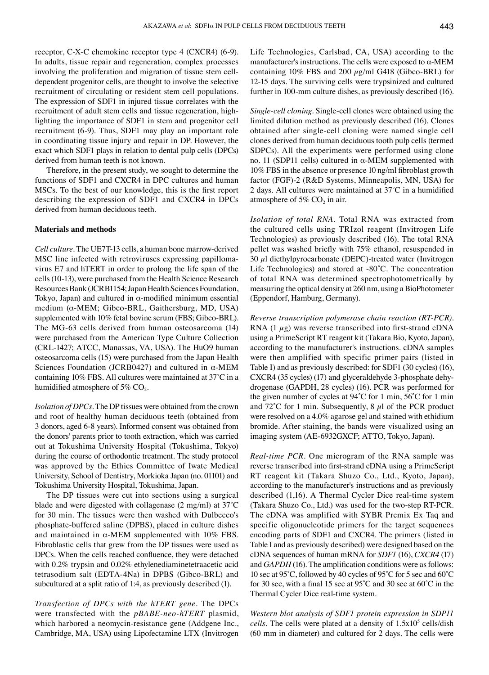receptor, C-X-C chemokine receptor type 4 (CXCR4) (6-9). In adults, tissue repair and regeneration, complex processes involving the proliferation and migration of tissue stem celldependent progenitor cells, are thought to involve the selective recruitment of circulating or resident stem cell populations. The expression of SDF1 in injured tissue correlates with the recruitment of adult stem cells and tissue regeneration, highlighting the importance of SDF1 in stem and progenitor cell recruitment (6-9). Thus, SDF1 may play an important role in coordinating tissue injury and repair in DP. However, the exact which SDF1 plays in relation to dental pulp cells (DPCs) derived from human teeth is not known.

Therefore, in the present study, we sought to determine the functions of SDF1 and CXCR4 in DPC cultures and human MSCs. To the best of our knowledge, this is the first report describing the expression of SDF1 and CXCR4 in DPCs derived from human deciduous teeth.

### **Materials and methods**

*Cell culture.* The UE7T-13 cells, a human bone marrow-derived MSC line infected with retroviruses expressing papillomavirus E7 and hTERT in order to prolong the life span of the cells (10-13), were purchased from the Health Science Research Resources Bank (JCRB1154; Japan Health Sciences Foundation, Tokyo, Japan) and cultured in  $\alpha$ -modified minimum essential medium (α-MEM; Gibco-BRL, Gaithersburg, MD, USA) supplemented with 10% fetal bovine serum (FBS; Gibco-BRL). The MG-63 cells derived from human osteosarcoma (14) were purchased from the American Type Culture Collection (CRL-1427; ATCC, Manassas, VA, USA). The HuO9 human osteosarcoma cells (15) were purchased from the Japan Health Sciences Foundation (JCRB0427) and cultured in α-MEM containing 10% FBS. All cultures were maintained at 37˚C in a humidified atmosphere of 5%  $CO<sub>2</sub>$ .

*Isolation of DPCs.* The DP tissues were obtained from the crown and root of healthy human deciduous teeth (obtained from 3 donors, aged 6-8 years). Informed consent was obtained from the donors' parents prior to tooth extraction, which was carried out at Tokushima University Hospital (Tokushima, Tokyo) during the course of orthodontic treatment. The study protocol was approved by the Ethics Committee of Iwate Medical University, School of Dentistry, Morkioka Japan (no. 01101) and Tokushima University Hospital, Tokushima, Japan.

The DP tissues were cut into sections using a surgical blade and were digested with collagenase (2 mg/ml) at 37˚C for 30 min. The tissues were then washed with Dulbecco's phosphate-buffered saline (DPBS), placed in culture dishes and maintained in  $\alpha$ -MEM supplemented with 10% FBS. Fibroblastic cells that grew from the DP tissues were used as DPCs. When the cells reached confluence, they were detached with 0.2% trypsin and 0.02% ethylenediaminetetraacetic acid tetrasodium salt (EDTA-4Na) in DPBS (Gibco-BRL) and subcultured at a split ratio of 1:4, as previously described (1).

*Transfection of DPCs with the hTERT gene.* The DPCs were transfected with the *pBABE-neo-hTERT* plasmid, which harbored a neomycin-resistance gene (Addgene Inc., Cambridge, MA, USA) using Lipofectamine LTX (Invitrogen Life Technologies, Carlsbad, CA, USA) according to the manufacturer's instructions. The cells were exposed to  $\alpha$ -MEM containing  $10\%$  FBS and  $200 \mu g/ml$  G418 (Gibco-BRL) for 12-15 days. The surviving cells were trypsinized and cultured further in 100-mm culture dishes, as previously described (16).

*Single-cell cloning.* Single-cell clones were obtained using the limited dilution method as previously described (16). Clones obtained after single-cell cloning were named single cell clones derived from human deciduous tooth pulp cells (termed SDPCs). All the experiments were performed using clone no. 11 (SDP11 cells) cultured in α-MEM supplemented with 10% FBS in the absence or presence 10 ng/ml fibroblast growth factor (FGF)-2 (R&D Systems, Minneapolis, MN, USA) for 2 days. All cultures were maintained at 37˚C in a humidified atmosphere of  $5\%$  CO<sub>2</sub> in air.

*Isolation of total RNA.* Total RNA was extracted from the cultured cells using TRIzol reagent (Invitrogen Life Technologies) as previously described (16). The total RNA pellet was washed briefly with 75% ethanol, resuspended in  $30 \mu$ l diethylpyrocarbonate (DEPC)-treated water (Invitrogen Life Technologies) and stored at -80˚C. The concentration of total RNA was determined spectrophotometrically by measuring the optical density at 260 nm, using a BioPhotometer (Eppendorf, Hamburg, Germany).

*Reverse transcription polymerase chain reaction (RT-PCR).*  RNA  $(1 \mu g)$  was reverse transcribed into first-strand cDNA using a PrimeScript RT reagent kit (Takara Bio, Kyoto, Japan), according to the manufacturer's instructions. cDNA samples were then amplified with specific primer pairs (listed in Table I) and as previously described: for SDF1 (30 cycles) (16), CXCR4 (35 cycles) (17) and glyceraldehyde 3-phosphate dehydrogenase (GAPDH, 28 cycles) (16). PCR was performed for the given number of cycles at 94˚C for 1 min, 56˚C for 1 min and  $72^{\circ}$ C for 1 min. Subsequently, 8  $\mu$ l of the PCR product were resolved on a 4.0% agarose gel and stained with ethidium bromide. After staining, the bands were visualized using an imaging system (AE-6932GXCF; ATTO, Tokyo, Japan).

*Real-time PCR.* One microgram of the RNA sample was reverse transcribed into first-strand cDNA using a PrimeScript RT reagent kit (Takara Shuzo Co., Ltd., Kyoto, Japan), according to the manufacturer's instructions and as previously described (1,16). A Thermal Cycler Dice real-time system (Takara Shuzo Co., Ltd.) was used for the two-step RT-PCR. The cDNA was amplified with SYBR Premix Ex Taq and specific oligonucleotide primers for the target sequences encoding parts of SDF1 and CXCR4. The primers (listed in Table I and as previously described) were designed based on the cDNA sequences of human mRNA for *SDF1* (16), *CXCR4* (17) and *GAPDH* (16). The amplification conditions were as follows: 10 sec at 95˚C, followed by 40 cycles of 95˚C for 5 sec and 60˚C for 30 sec, with a final 15 sec at 95˚C and 30 sec at 60˚C in the Thermal Cycler Dice real-time system.

*Western blot analysis of SDF1 protein expression in SDP11 cells*. The cells were plated at a density of 1.5x10<sup>5</sup> cells/dish (60 mm in diameter) and cultured for 2 days. The cells were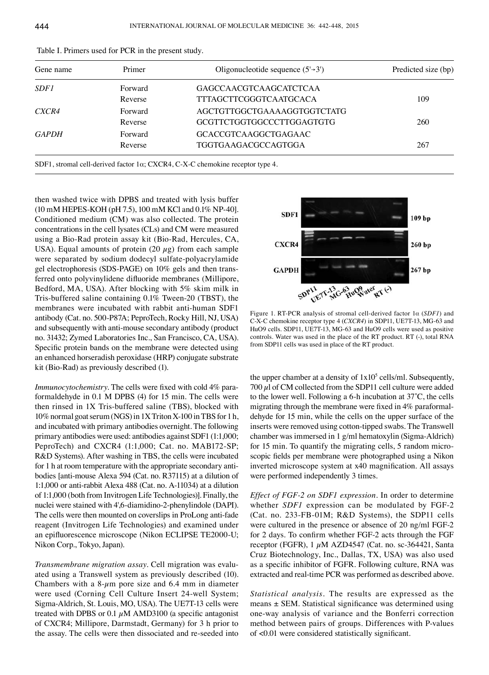| Gene name    | Primer  | Oligonucleotide sequence $(5\rightarrow 3')$ | Predicted size (bp) |
|--------------|---------|----------------------------------------------|---------------------|
| <i>SDF1</i>  | Forward | <b>GAGCCAACGTCAAGCATCTCAA</b>                |                     |
|              | Reverse | <b>TTTAGCTTCGGGTCAATGCACA</b>                | 109                 |
| CXCR4        | Forward | AGCTGTTGGCTGAAAAGGTGGTCTATG                  |                     |
|              | Reverse | GCGTTCTGGTGGCCCTTGGAGTGTG                    | 260                 |
| <b>GAPDH</b> | Forward | GCACCGTCAAGGCTGAGAAC                         |                     |
|              | Reverse | <b>TGGTGAAGACGCCAGTGGA</b>                   | 267                 |

| Table I. Primers used for PCR in the present study. |  |  |  |
|-----------------------------------------------------|--|--|--|
|-----------------------------------------------------|--|--|--|

SDF1, stromal cell-derived factor 1α; CXCR4, C-X-C chemokine receptor type 4.

then washed twice with DPBS and treated with lysis buffer (10 mM HEPES-KOH (pH 7.5), 100 mM KCl and 0.1% NP-40]. Conditioned medium (CM) was also collected. The protein concentrations in the cell lysates (CLs) and CM were measured using a Bio-Rad protein assay kit (Bio-Rad, Hercules, CA, USA). Equal amounts of protein (20  $\mu$ g) from each sample were separated by sodium dodecyl sulfate-polyacrylamide gel electrophoresis (SDS-PAGE) on 10% gels and then transferred onto polyvinylidene difluoride membranes (Millipore, Bedford, MA, USA). After blocking with 5% skim milk in Tris-buffered saline containing 0.1% Tween-20 (TBST), the membranes were incubated with rabbit anti-human SDF1 antibody (Cat. no. 500-P87A; PeproTech, Rocky Hill, NJ, USA) and subsequently with anti-mouse secondary antibody (product no. 31432; Zymed Laboratories Inc., San Francisco, CA, USA). Specific protein bands on the membrane were detected using an enhanced horseradish peroxidase (HRP) conjugate substrate kit (Bio-Rad) as previously described (1).

*Immunocytochemistry.* The cells were fixed with cold 4% paraformaldehyde in 0.1 M DPBS (4) for 15 min. The cells were then rinsed in 1X Tris-buffered saline (TBS), blocked with 10%normal goat serum(NGS) in 1XTriton X-100 in TBS for 1 h, and incubated with primary antibodies overnight. The following primary antibodies were used: antibodies against SDF1 (1:1,000; PeproTech) and CXCR4 (1:1,000; Cat. no. MAB172-SP; R&D Systems). After washing in TBS, the cells were incubated for 1 h at room temperature with the appropriate secondary antibodies [anti-mouse Alexa 594 (Cat. no. R37115) at a dilution of 1:1,000 or anti-rabbit Alexa 488 (Cat. no. A-11034) at a dilution of 1:1,000 (both from Invitrogen Life Technologies)]. Finally, the nuclei were stained with 4',6-diamidino-2-phenylindole (DAPI). The cells were then mounted on coverslips in ProLong anti-fade reagent (Invitrogen Life Technologies) and examined under an epifluorescence microscope (Nikon ECLIPSE TE2000-U; Nikon Corp., Tokyo, Japan).

*Transmembrane migration assay.* Cell migration was evaluated using a Transwell system as previously described (10). Chambers with a  $8-\mu$ m pore size and 6.4 mm in diameter were used (Corning Cell Culture Insert 24-well System; Sigma-Aldrich, St. Louis, MO, USA). The UE7T-13 cells were treated with DPBS or 0.1  $\mu$ M AMD3100 (a specific antagonist of CXCR4; Millipore, Darmstadt, Germany) for 3 h prior to the assay. The cells were then dissociated and re-seeded into



Figure 1. RT-PCR analysis of stromal cell-derived factor 1α (*SDF1*) and C-X-C chemokine receptor type 4 (*CXCR4*) in SDP11, UE7T-13, MG-63 and HuO9 cells. SDP11, UE7T-13, MG-63 and HuO9 cells were used as positive controls. Water was used in the place of the RT product. RT (-), total RNA from SDP11 cells was used in place of the RT product.

the upper chamber at a density of  $1x10<sup>5</sup>$  cells/ml. Subsequently,  $700 \mu$ l of CM collected from the SDP11 cell culture were added to the lower well. Following a 6-h incubation at 37˚C, the cells migrating through the membrane were fixed in 4% paraformaldehyde for 15 min, while the cells on the upper surface of the inserts were removed using cotton-tipped swabs. The Transwell chamber was immersed in 1 g/ml hematoxylin (Sigma-Aldrich) for 15 min. To quantify the migrating cells, 5 random microscopic fields per membrane were photographed using a Nikon inverted microscope system at x40 magnification. All assays were performed independently 3 times.

*Effect of FGF-2 on SDF1 expression.* In order to determine whether *SDF1* expression can be modulated by FGF-2 (Cat. no. 233-FB-01M; R&D Systems), the SDP11 cells were cultured in the presence or absence of 20 ng/ml FGF-2 for 2 days. To confirm whether FGF‑2 acts through the FGF receptor (FGFR),  $1 \mu M$  AZD4547 (Cat. no. sc-364421, Santa Cruz Biotechnology, Inc., Dallas, TX, USA) was also used as a specific inhibitor of FGFR. Following culture, RNA was extracted and real-time PCR was performed as described above.

*Statistical analysis.* The results are expressed as the means  $\pm$  SEM. Statistical significance was determined using one-way analysis of variance and the Bonferri correction method between pairs of groups. Differences with P-values of <0.01 were considered statistically significant.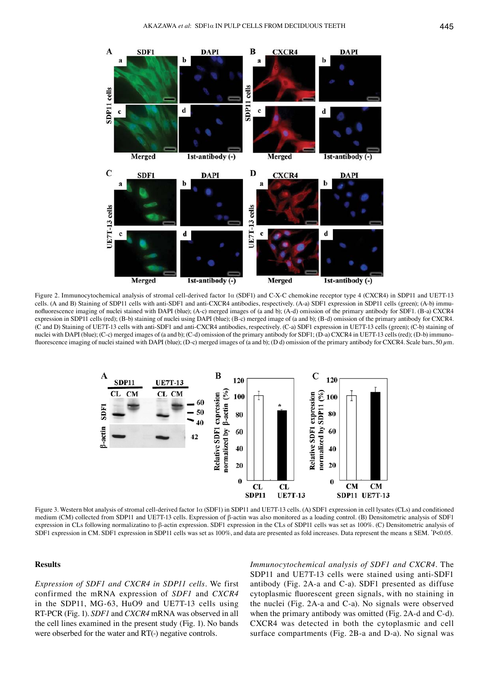

Figure 2. Immunocytochemical analysis of stromal cell-derived factor 1α (SDF1) and C-X-C chemokine receptor type 4 (CXCR4) in SDP11 and UE7T-13 cells. (A and B) Staining of SDP11 cells with anti-SDF1 and anti-CXCR4 antibodies, respectively. (A-a) SDF1 expression in SDP11 cells (green); (A-b) immunofluorescence imaging of nuclei stained with DAPI (blue); (A-c) merged images of (a and b); (A-d) omission of the primary antibody for SDF1. (B-a) CXCR4 expression in SDP11 cells (red); (B-b) staining of nuclei using DAPI (blue); (B-c) merged image of (a and b); (B-d) omission of the primary antibody for CXCR4. (C and D) Staining of UE7T-13 cells with anti-SDF1 and anti-CXCR4 antibodies, respectively. (C-a) SDF1 expression in UE7T-13 cells (green); (C-b) staining of nuclei with DAPI (blue); (C-c) merged images of (a and b); (C-d) omission of the primary antibody for SDF1; (D-a) CXCR4 in UE7T-13 cells (red); (D-b) immunofluorescence imaging of nuclei stained with DAPI (blue); (D-c) merged images of (a and b); (D d) omission of the primary antibody for CXCR4. Scale bars, 50  $\mu$ m.



Figure 3. Western blot analysis of stromal cell-derived factor 1α (SDF1) in SDP11 and UE7T-13 cells. (A) SDF1 expression in cell lysates (CLs) and conditioned medium (CM) collected from SDP11 and UE7T-13 cells. Expression of β-actin was also monitored as a loading control. (B) Densitometric analysis of SDF1 expression in CLs following normalizatino to β-actin expression. SDF1 expression in the CLs of SDP11 cells was set as 100%. (C) Densitometric analysis of SDF1 expression in CM. SDF1 expression in SDP11 cells was set as 100%, and data are presented as fold increases. Data represent the means ± SEM. \* P<0.05.

## **Results**

*Expression of SDF1 and CXCR4 in SDP11 cells.* We first confirmed the mRNA expression of *SDF1* and *CXCR4* in the SDP11, MG-63, HuO9 and UE7T-13 cells using RT-PCR (Fig. 1). *SDF1* and *CXCR4* mRNA was observed in all the cell lines examined in the present study (Fig. 1). No bands were obserbed for the water and RT(-) negative controls.

*Immunocytochemical analysis of SDF1 and CXCR4.* The SDP11 and UE7T-13 cells were stained using anti-SDF1 antibody (Fig. 2A-a and C-a). SDF1 presented as diffuse cytoplasmic fluorescent green signals, with no staining in the nuclei (Fig. 2A-a and C-a). No signals were observed when the primary antibody was omitted (Fig. 2A-d and C-d). CXCR4 was detected in both the cytoplasmic and cell surface compartments (Fig. 2B-a and D-a). No signal was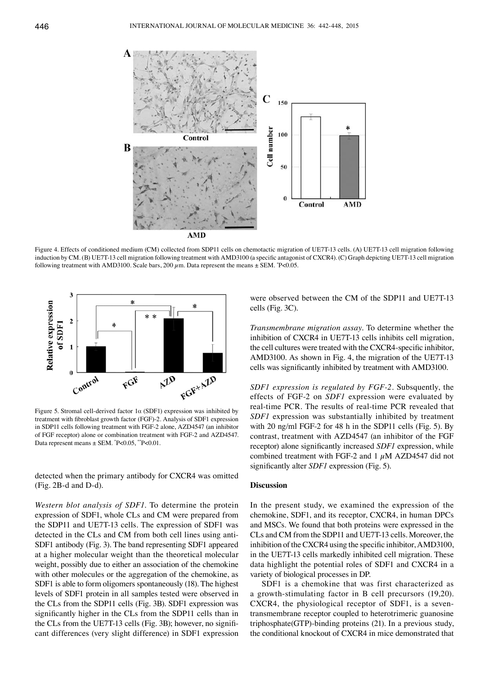

Figure 4. Effects of conditioned medium (CM) collected from SDP11 cells on chemotactic migration of UE7T-13 cells. (A) UE7T-13 cell migration following induction by CM. (B) UE7T-13 cell migration following treatment with AMD3100 (a specific antagonist of CXCR4). (C) Graph depicting UE7T-13 cell migration following treatment with AMD3100. Scale bars, 200  $\mu$ m. Data represent the means  $\pm$  SEM.  $\degree$ P<0.05.



Figure 5. Stromal cell-derived factor  $1\alpha$  (SDF1) expression was inhibited by treatment with fibroblast growth factor (FGF)-2. Analysis of SDF1 expression in SDP11 cells following treatment with FGF-2 alone, AZD4547 (an inhibitor of FGF receptor) alone or combination treatment with FGF-2 and AZD4547. Data represent means ± SEM. \* P<0.05, \*\*P<0.01.

detected when the primary antibody for CXCR4 was omitted (Fig. 2B-d and D-d).

*Western blot analysis of SDF1.* To determine the protein expression of SDF1, whole CLs and CM were prepared from the SDP11 and UE7T-13 cells. The expression of SDF1 was detected in the CLs and CM from both cell lines using anti-SDF1 antibody (Fig. 3). The band representing SDF1 appeared at a higher molecular weight than the theoretical molecular weight, possibly due to either an association of the chemokine with other molecules or the aggregation of the chemokine, as SDF1 is able to form oligomers spontaneously (18). The highest levels of SDF1 protein in all samples tested were observed in the CLs from the SDP11 cells (Fig. 3B). SDF1 expression was significantly higher in the CLs from the SDP11 cells than in the CLs from the UE7T-13 cells (Fig. 3B); however, no significant differences (very slight difference) in SDF1 expression were observed between the CM of the SDP11 and UE7T-13 cells (Fig. 3C).

*Transmembrane migration assay.* To determine whether the inhibition of CXCR4 in UE7T-13 cells inhibits cell migration, the cell cultures were treated with the CXCR4-specific inhibitor, AMD3100. As shown in Fig. 4, the migration of the UE7T-13 cells was significantly inhibited by treatment with AMD3100.

*SDF1 expression is regulated by FGF-2.* Subsquently, the effects of FGF-2 on *SDF1* expression were evaluated by real-time PCR. The results of real-time PCR revealed that *SDF1* expression was substantially inhibited by treatment with 20 ng/ml FGF-2 for 48 h in the SDP11 cells (Fig. 5). By contrast, treatment with AZD4547 (an inhibitor of the FGF receptor) alone significantly increased *SDF1* expression, while combined treatment with FGF-2 and 1  $\mu$ M AZD4547 did not significantly alter *SDF1* expression (Fig. 5).

#### **Discussion**

In the present study, we examined the expression of the chemokine, SDF1, and its receptor, CXCR4, in human DPCs and MSCs. We found that both proteins were expressed in the CLs and CM from the SDP11 and UE7T-13 cells. Moreover, the inhibition of the CXCR4 using the specific inhibitor, AMD3100, in the UE7T-13 cells markedly inhibited cell migration. These data highlight the potential roles of SDF1 and CXCR4 in a variety of biological processes in DP.

SDF1 is a chemokine that was first characterized as a growth-stimulating factor in B cell precursors (19,20). CXCR4, the physiological receptor of SDF1, is a seventransmembrane receptor coupled to heterotrimeric guanosine triphosphate(GTP)-binding proteins (21). In a previous study, the conditional knockout of CXCR4 in mice demonstrated that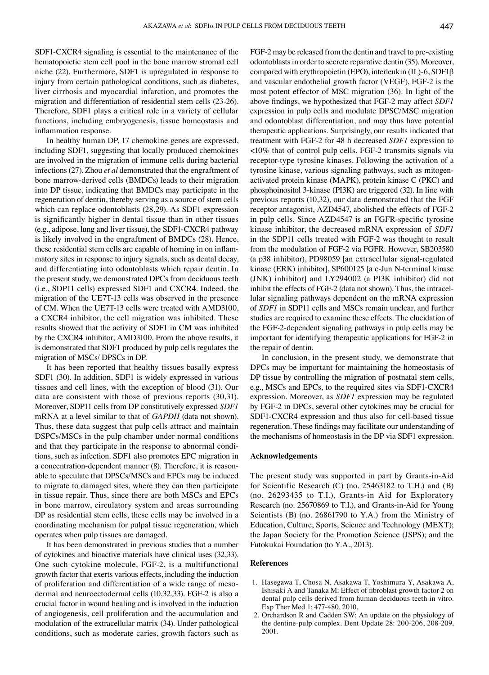SDF1-CXCR4 signaling is essential to the maintenance of the hematopoietic stem cell pool in the bone marrow stromal cell niche (22). Furthermore, SDF1 is upregulated in response to injury from certain pathological conditions, such as diabetes, liver cirrhosis and myocardial infarction, and promotes the migration and differentiation of residential stem cells (23-26). Therefore, SDF1 plays a critical role in a variety of cellular functions, including embryogenesis, tissue homeostasis and inflammation response.

In healthy human DP, 17 chemokine genes are expressed, including SDF1, suggesting that locally produced chemokines are involved in the migration of immune cells during bacterial infections (27). Zhou *et al* demonstrated that the engraftment of bone marrow-derived cells (BMDCs) leads to their migration into DP tissue, indicating that BMDCs may participate in the regeneration of dentin, thereby serving as a source of stem cells which can replace odontoblasts (28,29). As SDF1 expression is significantly higher in dental tissue than in other tissues (e.g., adipose, lung and liver tissue), the SDF1-CXCR4 pathway is likely involved in the engraftment of BMDCs (28). Hence, these residential stem cells are capable of homing in on inflammatory sites in response to injury signals, such as dental decay, and differentiating into odontoblasts which repair dentin. In the present study, we demonstrated DPCs from deciduous teeth (i.e., SDP11 cells) expressed SDF1 and CXCR4. Indeed, the migration of the UE7T-13 cells was observed in the presence of CM. When the UE7T-13 cells were treated with AMD3100, a CXCR4 inhibitor, the cell migration was inhibited. These results showed that the activity of SDF1 in CM was inhibited by the CXCR4 inhibitor, AMD3100. From the above results, it is demonstrated that SDF1 produced by pulp cells regulates the migration of MSCs/ DPSCs in DP.

It has been reported that healthy tissues basally express SDF1 (30). In addition, SDF1 is widely expressed in various tissues and cell lines, with the exception of blood (31). Our data are consistent with those of previous reports (30,31). Moreover, SDP11 cells from DP constitutively expressed *SDF1* mRNA at a level similar to that of *GAPDH* (data not shown). Thus, these data suggest that pulp cells attract and maintain DSPCs/MSCs in the pulp chamber under normal conditions and that they participate in the response to abnormal conditions, such as infection. SDF1 also promotes EPC migration in a concentration-dependent manner (8). Therefore, it is reasonable to speculate that DPSCs/MSCs and EPCs may be induced to migrate to damaged sites, where they can then participate in tissue repair. Thus, since there are both MSCs and EPCs in bone marrow, circulatory system and areas surrounding DP as residential stem cells, these cells may be involved in a coordinating mechanism for pulpal tissue regeneration, which operates when pulp tissues are damaged.

It has been demonstrated in previous studies that a number of cytokines and bioactive materials have clinical uses (32,33). One such cytokine molecule, FGF-2, is a multifunctional growth factor that exerts various effects, including the induction of proliferation and differentiation of a wide range of mesodermal and neuroectodermal cells (10,32,33). FGF-2 is also a crucial factor in wound healing and is involved in the induction of angiogenesis, cell proliferation and the accumulation and modulation of the extracellular matrix (34). Under pathological conditions, such as moderate caries, growth factors such as FGF-2 may be released from the dentin and travel to pre-existing odontoblasts in order to secrete reparative dentin (35). Moreover, compared with erythropoietin (EPO), interleukin (IL)-6, SDF1β and vascular endothelial growth factor (VEGF), FGF-2 is the most potent effector of MSC migration (36). In light of the above findings, we hypothesized that FGF-2 may affect *SDF1* expression in pulp cells and modulate DPSC/MSC migration and odontoblast differentiation, and may thus have potential therapeutic applications. Surprisingly, our results indicated that treatment with FGF-2 for 48 h decreased *SDF1* expression to <10% that of control pulp cells. FGF-2 transmits signals via receptor-type tyrosine kinases. Following the activation of a tyrosine kinase, various signaling pathways, such as mitogenactivated protein kinase (MAPK), protein kinase C (PKC) and phosphoinositol 3-kinase (PI3K) are triggered (32). In line with previous reports (10,32), our data demonstrated that the FGF receptor antagonist, AZD4547, abolished the effects of FGF-2 in pulp cells. Since AZD4547 is an FGFR-specific tyrosine kinase inhibitor, the decreased mRNA expression of *SDF1* in the SDP11 cells treated with FGF-2 was thought to result from the modulation of FGF-2 via FGFR. However, SB203580 (a p38 inhibitor), PD98059 [an extracellular signal-regulated kinase (ERK) inhibitor], SP600125 [a c-Jun N-terminal kinase (JNK) inhibitor] and LY294002 (a PI3K inhibitor) did not inhibit the effects of FGF-2 (data not shown). Thus, the intracellular signaling pathways dependent on the mRNA expression of *SDF1* in SDP11 cells and MSCs remain unclear, and further studies are required to examine these effects. The elucidation of the FGF-2-dependent signaling pathways in pulp cells may be important for identifying therapeutic applications for FGF-2 in the repair of dentin.

In conclusion, in the present study, we demonstrate that DPCs may be important for maintaining the homeostasis of DP tissue by controlling the migration of postnatal stem cells, e.g., MSCs and EPCs, to the required sites via SDF1-CXCR4 expression. Moreover, as *SDF1* expression may be regulated by FGF-2 in DPCs, several other cytokines may be crucial for SDF1-CXCR4 expression and thus also for cell-based tissue regeneration. These findings may facilitate our understanding of the mechanisms of homeostasis in the DP via SDF1 expression.

#### **Acknowledgements**

The present study was supported in part by Grants-in-Aid for Scientific Research (C) (no. 25463182 to T.H.) and (B) (no. 26293435 to T.I.), Grants-in Aid for Exploratory Research (no. 25670869 to T.I.), and Grants-in-Aid for Young Scientists (B) (no. 26861790 to Y.A.) from the Ministry of Education, Culture, Sports, Science and Technology (MEXT); the Japan Society for the Promotion Science (JSPS); and the Futokukai Foundation (to Y.A., 2013).

#### **References**

- 1. Hasegawa T, Chosa N, Asakawa T, Yoshimura Y, Asakawa A, Ishisaki A and Tanaka M: Effect of fibroblast growth factor-2 on dental pulp cells derived from human deciduous teeth in vitro. Exp Ther Med 1: 477-480, 2010.
- 2. Orchardson R and Cadden SW: An update on the physiology of the dentine-pulp complex. Dent Update 28: 200-206, 208-209, 2001.